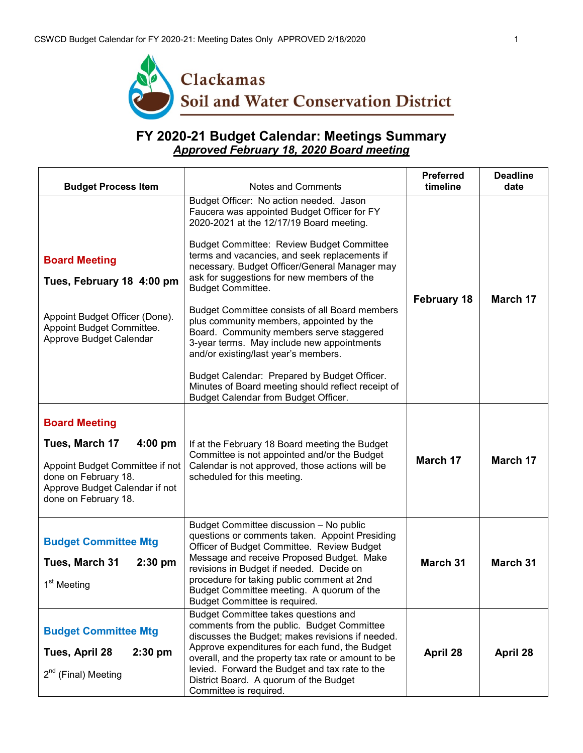

## **FY 2020-21 Budget Calendar: Meetings Summary** *Approved February 18, 2020 Board meeting*

| <b>Budget Process Item</b>                                                                                                                                               | <b>Notes and Comments</b>                                                                                                                                                                                                                                                                                                                                                                                                                                                                                                                                                                                                                                                                                                                        | <b>Preferred</b><br>timeline | <b>Deadline</b><br>date |
|--------------------------------------------------------------------------------------------------------------------------------------------------------------------------|--------------------------------------------------------------------------------------------------------------------------------------------------------------------------------------------------------------------------------------------------------------------------------------------------------------------------------------------------------------------------------------------------------------------------------------------------------------------------------------------------------------------------------------------------------------------------------------------------------------------------------------------------------------------------------------------------------------------------------------------------|------------------------------|-------------------------|
| <b>Board Meeting</b><br>Tues, February 18 4:00 pm<br>Appoint Budget Officer (Done).<br>Appoint Budget Committee.<br>Approve Budget Calendar                              | Budget Officer: No action needed. Jason<br>Faucera was appointed Budget Officer for FY<br>2020-2021 at the 12/17/19 Board meeting.<br><b>Budget Committee: Review Budget Committee</b><br>terms and vacancies, and seek replacements if<br>necessary. Budget Officer/General Manager may<br>ask for suggestions for new members of the<br><b>Budget Committee.</b><br>Budget Committee consists of all Board members<br>plus community members, appointed by the<br>Board. Community members serve staggered<br>3-year terms. May include new appointments<br>and/or existing/last year's members.<br>Budget Calendar: Prepared by Budget Officer.<br>Minutes of Board meeting should reflect receipt of<br>Budget Calendar from Budget Officer. | <b>February 18</b>           | March 17                |
| <b>Board Meeting</b><br>Tues, March 17<br>$4:00$ pm<br>Appoint Budget Committee if not<br>done on February 18.<br>Approve Budget Calendar if not<br>done on February 18. | If at the February 18 Board meeting the Budget<br>Committee is not appointed and/or the Budget<br>Calendar is not approved, those actions will be<br>scheduled for this meeting.                                                                                                                                                                                                                                                                                                                                                                                                                                                                                                                                                                 | March 17                     | March 17                |
| <b>Budget Committee Mtg</b><br>Tues, March 31<br>$2:30$ pm<br>1 <sup>st</sup> Meeting                                                                                    | Budget Committee discussion - No public<br>questions or comments taken. Appoint Presiding<br>Officer of Budget Committee. Review Budget<br>Message and receive Proposed Budget. Make<br>revisions in Budget if needed. Decide on<br>procedure for taking public comment at 2nd<br>Budget Committee meeting. A quorum of the<br>Budget Committee is required.                                                                                                                                                                                                                                                                                                                                                                                     | <b>March 31</b>              | March 31                |
| <b>Budget Committee Mtg</b><br>Tues, April 28<br>$2:30$ pm<br>$2^{nd}$ (Final) Meeting                                                                                   | Budget Committee takes questions and<br>comments from the public. Budget Committee<br>discusses the Budget; makes revisions if needed.<br>Approve expenditures for each fund, the Budget<br>overall, and the property tax rate or amount to be<br>levied. Forward the Budget and tax rate to the<br>District Board. A quorum of the Budget<br>Committee is required.                                                                                                                                                                                                                                                                                                                                                                             | April 28                     | April 28                |